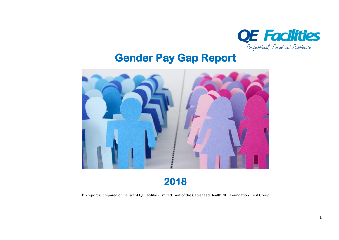

# **Gender Pay Gap Report**



**2018** 

This report is prepared on behalf of QE Facilities Limited, part of the Gateshead Health NHS Foundation Trust Group.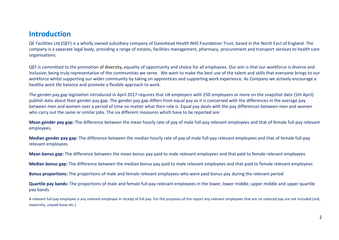# **Introduction**

QE Facilities Ltd (QEF) is a wholly owned subsidiary company of Gateshead Health NHS Foundation Trust, based in the North East of England. The company is a separate legal body, providing a range of estates, facilities management, pharmacy, procurement and transport services to health care organisations.

QEF is committed to the promotion of diversity, equality of opportunity and choice for all employees. Our aim is that our workforce is diverse and inclusive; being truly representative of the communities we serve. We want to make the best use of the talent and skills that everyone brings to our workforce whilst supporting our wider community by taking on apprentices and supporting work experience. As Company we actively encourage a healthy work life balance and promote a flexible approach to work.

The gender pay gap legislation introduced in April 2017 requires that UK employers with 250 employees or more on the snapshot date (5th April) publish data about their gender pay gap. The gender pay gap differs from equal pay as it is concerned with the differences in the average pay between men and women over a period of time no matter what their role is. Equal pay deals with the pay differences between men and women who carry out the same or similar jobs. The six different measures which have to be reported are:

**Mean gender pay gap:** The difference between the mean hourly rate of pay of male full-pay relevant employees and that of female full-pay relevant employees.

**Median gender pay gap:** The difference between the median hourly rate of pay of male full-pay relevant employees and that of female full-pay relevant employees

**Mean bonus gap:** The difference between the mean bonus pay paid to male relevant employees and that paid to female relevant employees

**Median bonus gap:** The difference between the median bonus pay paid to male relevant employees and that paid to female relevant employees

**Bonus proportions:** The proportions of male and female relevant employees who were paid bonus pay during the relevant period

**Quartile pay bands:** The proportions of male and female full-pay relevant employees in the lower, lower middle, upper middle and upper quartile pay bands.

A relevant full-pay employee is any relevant employee in receipt of full pay. For the purposes of this report any relevant employees that are on reduced pay are not included (sick, maternity, unpaid leave etc.)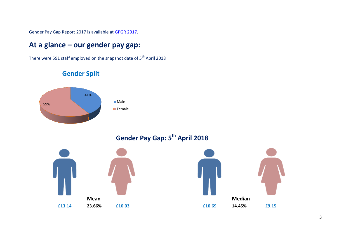Gender Pay Gap Report 2017 is available at [GPGR 2017.](https://docs.wixstatic.com/ugd/ead2f1_33ef465b8d6541cba188729270a54f5c.pdf)

# **At a glance – our gender pay gap:**

There were 591 staff employed on the snapshot date of 5<sup>th</sup> April 2018

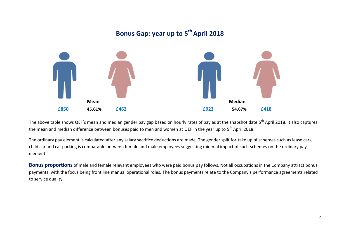# **Bonus Gap: year up to 5 th April 2018 Mean Median £850 45.61% £462 £923 54.67% £418**

The above table shows QEF's mean and median gender pay gap based on hourly rates of pay as at the snapshot date 5<sup>th</sup> April 2018. It also captures the mean and median difference between bonuses paid to men and women at QEF in the year up to 5<sup>th</sup> April 2018.

The ordinary pay element is calculated after any salary sacrifice deductions are made. The gender split for take up of schemes such as lease cars, child car and car parking is comparable between female and male employees suggesting minimal impact of such schemes on the ordinary pay element.

**Bonus proportions** of male and female relevant employees who were paid bonus pay follows. Not all occupations in the Company attract bonus payments, with the focus being front line manual operational roles. The bonus payments relate to the Company's performance agreements related to service quality.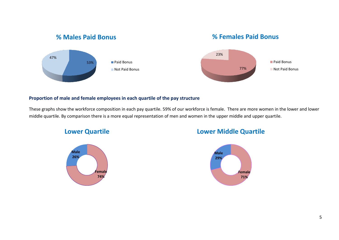## **% Males Paid Bonus**





#### **Proportion of male and female employees in each quartile of the pay structure**

These graphs show the workforce composition in each pay quartile. 59% of our workforce is female. There are more women in the lower and lower middle quartile. By comparison there is a more equal representation of men and women in the upper middle and upper quartile.

#### **Lower Quartile**



## **Lower Middle Quartile**

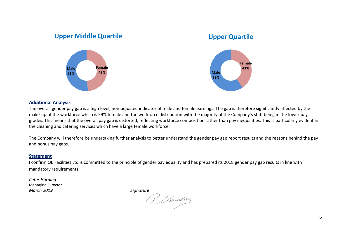#### **Female 49% Male 51% Upper Middle Quartile Female 41% Male 59% Upper Quartile**

#### **Additional Analysis**

The overall gender pay gap is a high level, non-adjusted indicator of male and female earnings. The gap is therefore significantly affected by the make-up of the workforce which is 59% female and the workforce distribution with the majority of the Company's staff being in the lower pay grades. This means that the overall pay gap is distorted, reflecting workforce composition rather than pay inequalities. This is particularly evident in the cleaning and catering services which have a large female workforce.

The Company will therefore be undertaking further analysis to better understand the gender pay gap report results and the reasons behind the pay and bonus pay gaps.

#### **Statement**

I confirm QE Facilities Ltd is committed to the principle of gender pay equality and has prepared its 2018 gender pay gap results in line with mandatory requirements.

*Peter Harding* Managing Director

*March 2019 Signature*